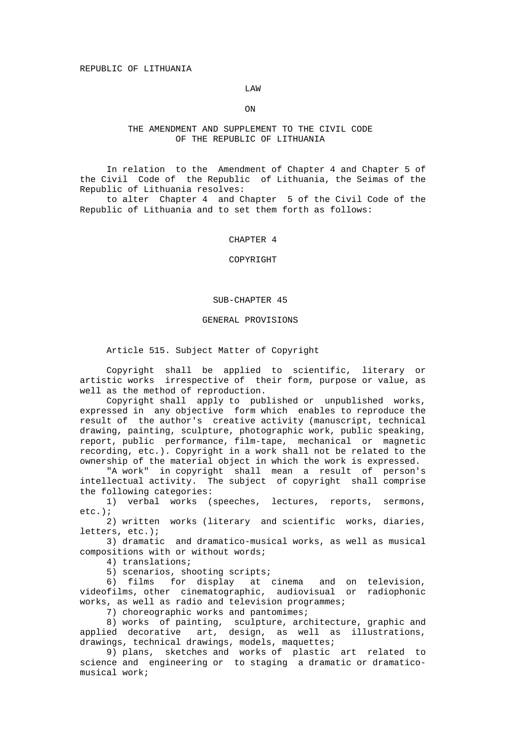#### LAW

#### ON

### THE AMENDMENT AND SUPPLEMENT TO THE CIVIL CODE OF THE REPUBLIC OF LITHUANIA

 In relation to the Amendment of Chapter 4 and Chapter 5 of the Civil Code of the Republic of Lithuania, the Seimas of the Republic of Lithuania resolves:

 to alter Chapter 4 and Chapter 5 of the Civil Code of the Republic of Lithuania and to set them forth as follows:

#### CHAPTER 4

COPYRIGHT

### SUB-CHAPTER 45

### GENERAL PROVISIONS

Article 515. Subject Matter of Copyright

 Copyright shall be applied to scientific, literary or artistic works irrespective of their form, purpose or value, as well as the method of reproduction.

 Copyright shall apply to published or unpublished works, expressed in any objective form which enables to reproduce the result of the author's creative activity (manuscript, technical drawing, painting, sculpture, photographic work, public speaking, report, public performance, film-tape, mechanical or magnetic recording, etc.). Copyright in a work shall not be related to the ownership of the material object in which the work is expressed.

 "A work" in copyright shall mean a result of person's intellectual activity. The subject of copyright shall comprise the following categories:

 1) verbal works (speeches, lectures, reports, sermons, etc.);

 2) written works (literary and scientific works, diaries, letters, etc.);

 3) dramatic and dramatico-musical works, as well as musical compositions with or without words;

4) translations;

5) scenarios, shooting scripts;

 6) films for display at cinema and on television, videofilms, other cinematographic, audiovisual or radiophonic works, as well as radio and television programmes;

7) choreographic works and pantomimes;

 8) works of painting, sculpture, architecture, graphic and applied decorative art, design, as well as illustrations, drawings, technical drawings, models, maquettes;

 9) plans, sketches and works of plastic art related to science and engineering or to staging a dramatic or dramaticomusical work;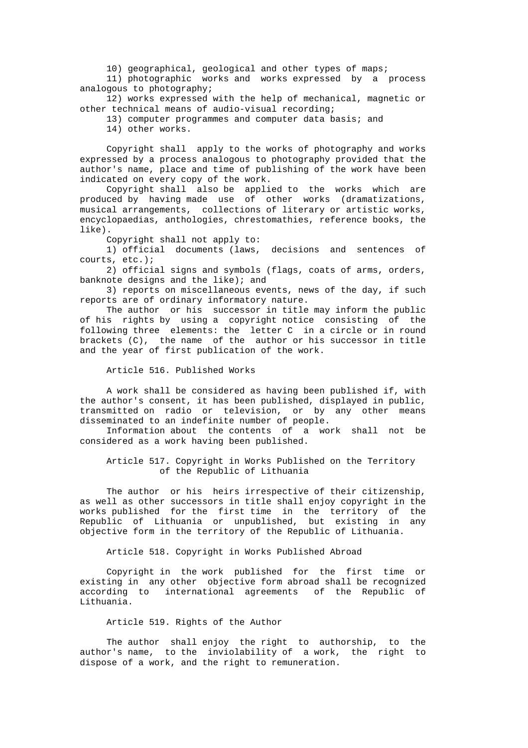10) geographical, geological and other types of maps;

 11) photographic works and works expressed by a process analogous to photography;

 12) works expressed with the help of mechanical, magnetic or other technical means of audio-visual recording;

13) computer programmes and computer data basis; and

14) other works.

 Copyright shall apply to the works of photography and works expressed by a process analogous to photography provided that the author's name, place and time of publishing of the work have been indicated on every copy of the work.

 Copyright shall also be applied to the works which are produced by having made use of other works (dramatizations, musical arrangements, collections of literary or artistic works, encyclopaedias, anthologies, chrestomathies, reference books, the like).

Copyright shall not apply to:

 1) official documents (laws, decisions and sentences of courts, etc.);

 2) official signs and symbols (flags, coats of arms, orders, banknote designs and the like); and

 3) reports on miscellaneous events, news of the day, if such reports are of ordinary informatory nature.

 The author or his successor in title may inform the public of his rights by using a copyright notice consisting of the following three elements: the letter C in a circle or in round brackets (C), the name of the author or his successor in title and the year of first publication of the work.

Article 516. Published Works

 A work shall be considered as having been published if, with the author's consent, it has been published, displayed in public, transmitted on radio or television, or by any other means disseminated to an indefinite number of people.

 Information about the contents of a work shall not be considered as a work having been published.

 Article 517. Copyright in Works Published on the Territory of the Republic of Lithuania

 The author or his heirs irrespective of their citizenship, as well as other successors in title shall enjoy copyright in the works published for the first time in the territory of the Republic of Lithuania or unpublished, but existing in any objective form in the territory of the Republic of Lithuania.

Article 518. Copyright in Works Published Abroad

 Copyright in the work published for the first time or existing in any other objective form abroad shall be recognized according to international agreements of the Republic of Lithuania.

Article 519. Rights of the Author

 The author shall enjoy the right to authorship, to the author's name, to the inviolability of a work, the right to dispose of a work, and the right to remuneration.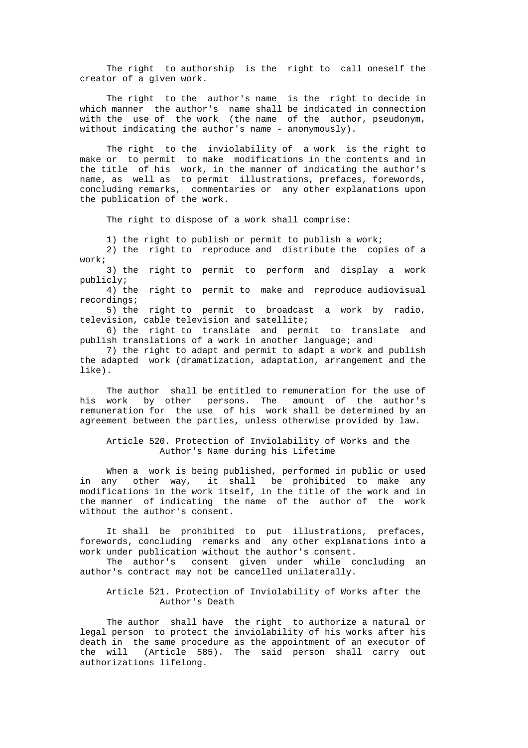The right to authorship is the right to call oneself the creator of a given work.

 The right to the author's name is the right to decide in which manner the author's name shall be indicated in connection which manner the ducket is name interested as with the use of the work (the name of the author, pseudonym, without indicating the author's name - anonymously).

 The right to the inviolability of a work is the right to make or to permit to make modifications in the contents and in the title of his work, in the manner of indicating the author's name, as well as to permit illustrations, prefaces, forewords, concluding remarks, commentaries or any other explanations upon the publication of the work.

The right to dispose of a work shall comprise:

1) the right to publish or permit to publish a work;

 2) the right to reproduce and distribute the copies of a work;

 3) the right to permit to perform and display a work publicly;

 4) the right to permit to make and reproduce audiovisual recordings;

 5) the right to permit to broadcast a work by radio, television, cable television and satellite;

 6) the right to translate and permit to translate and publish translations of a work in another language; and

 7) the right to adapt and permit to adapt a work and publish the adapted work (dramatization, adaptation, arrangement and the like).

 The author shall be entitled to remuneration for the use of his work by other persons. The amount of the author's remuneration for the use of his work shall be determined by an agreement between the parties, unless otherwise provided by law.

 Article 520. Protection of Inviolability of Works and the Author's Name during his Lifetime

 When a work is being published, performed in public or used in any other way, it shall be prohibited to make any modifications in the work itself, in the title of the work and in the manner of indicating the name of the author of the work without the author's consent.

 It shall be prohibited to put illustrations, prefaces, forewords, concluding remarks and any other explanations into a work under publication without the author's consent.

 The author's consent given under while concluding an author's contract may not be cancelled unilaterally.

 Article 521. Protection of Inviolability of Works after the Author's Death

 The author shall have the right to authorize a natural or legal person to protect the inviolability of his works after his death in the same procedure as the appointment of an executor of the will (Article 585). The said person shall carry out authorizations lifelong.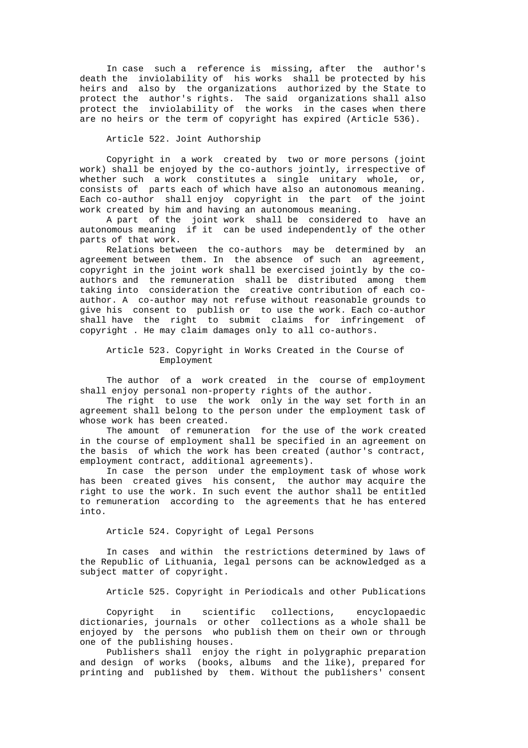In case such a reference is missing, after the author's death the inviolability of his works shall be protected by his heirs and also by the organizations authorized by the State to protect the author's rights. The said organizations shall also protect the inviolability of the works in the cases when there are no heirs or the term of copyright has expired (Article 536).

Article 522. Joint Authorship

 Copyright in a work created by two or more persons (joint work) shall be enjoyed by the co-authors jointly, irrespective of whether such a work constitutes a single unitary whole, or, consists of parts each of which have also an autonomous meaning. Each co-author shall enjoy copyright in the part of the joint work created by him and having an autonomous meaning.

 A part of the joint work shall be considered to have an autonomous meaning if it can be used independently of the other parts of that work.

 Relations between the co-authors may be determined by an agreement between them. In the absence of such an agreement, copyright in the joint work shall be exercised jointly by the coauthors and the remuneration shall be distributed among them taking into consideration the creative contribution of each coauthor. A co-author may not refuse without reasonable grounds to give his consent to publish or to use the work. Each co-author shall have the right to submit claims for infringement of copyright . He may claim damages only to all co-authors.

 Article 523. Copyright in Works Created in the Course of Employment

 The author of a work created in the course of employment shall enjoy personal non-property rights of the author.

 The right to use the work only in the way set forth in an agreement shall belong to the person under the employment task of whose work has been created.

 The amount of remuneration for the use of the work created in the course of employment shall be specified in an agreement on the basis of which the work has been created (author's contract, employment contract, additional agreements).

 In case the person under the employment task of whose work has been created gives his consent, the author may acquire the right to use the work. In such event the author shall be entitled to remuneration according to the agreements that he has entered into.

Article 524. Copyright of Legal Persons

 In cases and within the restrictions determined by laws of the Republic of Lithuania, legal persons can be acknowledged as a subject matter of copyright.

Article 525. Copyright in Periodicals and other Publications

 Copyright in scientific collections, encyclopaedic dictionaries, journals or other collections as a whole shall be enjoyed by the persons who publish them on their own or through one of the publishing houses.

 Publishers shall enjoy the right in polygraphic preparation and design of works (books, albums and the like), prepared for printing and published by them. Without the publishers' consent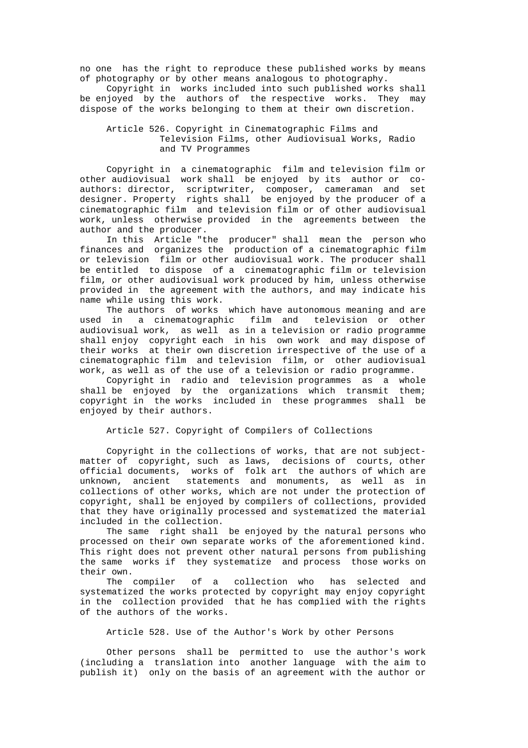no one has the right to reproduce these published works by means of photography or by other means analogous to photography.

 Copyright in works included into such published works shall be enjoyed by the authors of the respective works. They may dispose of the works belonging to them at their own discretion.

## Article 526. Copyright in Cinematographic Films and Television Films, other Audiovisual Works, Radio and TV Programmes

 Copyright in a cinematographic film and television film or other audiovisual work shall be enjoyed by its author or coauthors: director, scriptwriter, composer, cameraman and set designer. Property rights shall be enjoyed by the producer of a cinematographic film and television film or of other audiovisual work, unless otherwise provided in the agreements between the author and the producer.

 In this Article "the producer" shall mean the person who finances and organizes the production of a cinematographic film or television film or other audiovisual work. The producer shall be entitled to dispose of a cinematographic film or television film, or other audiovisual work produced by him, unless otherwise provided in the agreement with the authors, and may indicate his name while using this work.

 The authors of works which have autonomous meaning and are used in a cinematographic film and television or other audiovisual work, as well as in a television or radio programme shall enjoy copyright each in his own work and may dispose of their works at their own discretion irrespective of the use of a cinematographic film and television film, or other audiovisual work, as well as of the use of a television or radio programme.

 Copyright in radio and television programmes as a whole shall be enjoyed by the organizations which transmit them; copyright in the works included in these programmes shall be enjoyed by their authors.

### Article 527. Copyright of Compilers of Collections

 Copyright in the collections of works, that are not subjectmatter of copyright, such as laws, decisions of courts, other official documents, works of folk art the authors of which are unknown, ancient statements and monuments, as well as in collections of other works, which are not under the protection of copyright, shall be enjoyed by compilers of collections, provided that they have originally processed and systematized the material included in the collection.

 The same right shall be enjoyed by the natural persons who processed on their own separate works of the aforementioned kind. This right does not prevent other natural persons from publishing the same works if they systematize and process those works on their own.

 The compiler of a collection who has selected and systematized the works protected by copyright may enjoy copyright in the collection provided that he has complied with the rights of the authors of the works.

Article 528. Use of the Author's Work by other Persons

 Other persons shall be permitted to use the author's work (including a translation into another language with the aim to publish it) only on the basis of an agreement with the author or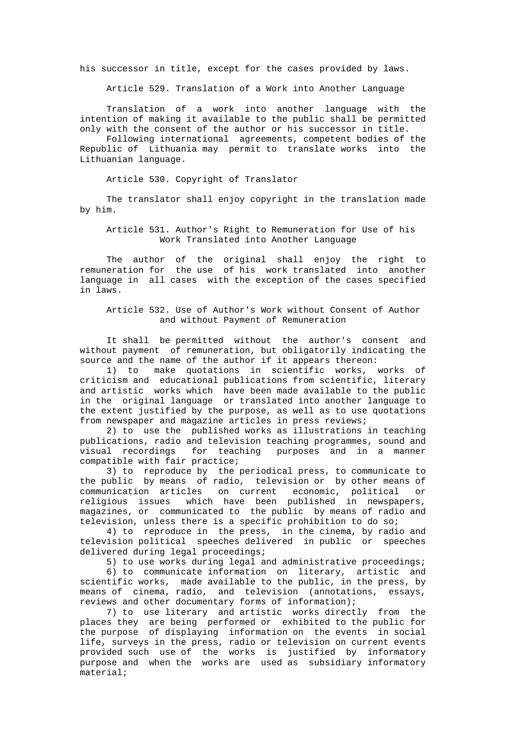his successor in title, except for the cases provided by laws.

Article 529. Translation of a Work into Another Language

 Translation of a work into another language with the intention of making it available to the public shall be permitted only with the consent of the author or his successor in title.

 Following international agreements, competent bodies of the Republic of Lithuania may permit to translate works into the Lithuanian language.

Article 530. Copyright of Translator

 The translator shall enjoy copyright in the translation made by him.

 Article 531. Author's Right to Remuneration for Use of his Work Translated into Another Language

 The author of the original shall enjoy the right to remuneration for the use of his work translated into another language in all cases with the exception of the cases specified in laws.

 Article 532. Use of Author's Work without Consent of Author and without Payment of Remuneration

 It shall be permitted without the author's consent and without payment of remuneration, but obligatorily indicating the source and the name of the author if it appears thereon:

 1) to make quotations in scientific works, works of criticism and educational publications from scientific, literary and artistic works which have been made available to the public in the original language or translated into another language to the extent justified by the purpose, as well as to use quotations from newspaper and magazine articles in press reviews;

 2) to use the published works as illustrations in teaching publications, radio and television teaching programmes, sound and visual recordings for teaching purposes and in a manner compatible with fair practice;

 3) to reproduce by the periodical press, to communicate to the public by means of radio, television or by other means of communication articles on current economic, political or religious issues which have been published in newspapers, magazines, or communicated to the public by means of radio and television, unless there is a specific prohibition to do so;

 4) to reproduce in the press, in the cinema, by radio and television political speeches delivered in public or speeches delivered during legal proceedings;

5) to use works during legal and administrative proceedings;

 6) to communicate information on literary, artistic and scientific works, made available to the public, in the press, by means of cinema, radio, and television (annotations, essays, reviews and other documentary forms of information);

 7) to use literary and artistic works directly from the places they are being performed or exhibited to the public for the purpose of displaying information on the events in social life, surveys in the press, radio or television on current events provided such use of the works is justified by informatory purpose and when the works are used as subsidiary informatory material;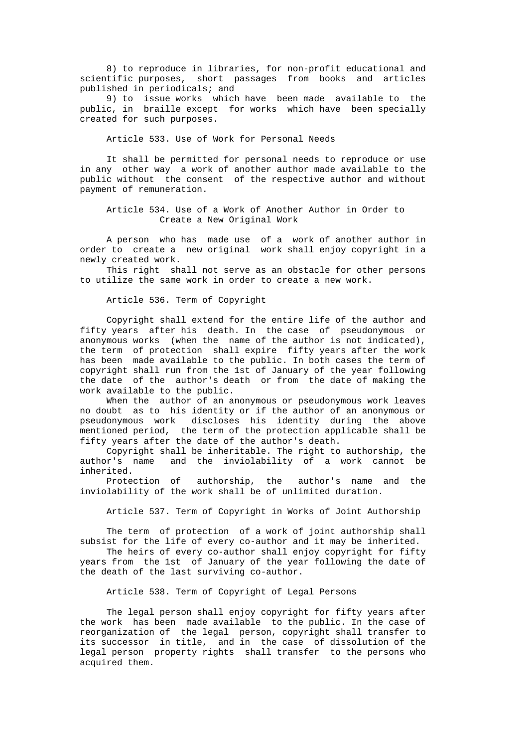8) to reproduce in libraries, for non-profit educational and scientific purposes, short passages from books and articles published in periodicals; and

 9) to issue works which have been made available to the public, in braille except for works which have been specially created for such purposes.

Article 533. Use of Work for Personal Needs

 It shall be permitted for personal needs to reproduce or use in any other way a work of another author made available to the public without the consent of the respective author and without payment of remuneration.

 Article 534. Use of a Work of Another Author in Order to Create a New Original Work

 A person who has made use of a work of another author in order to create a new original work shall enjoy copyright in a newly created work.

 This right shall not serve as an obstacle for other persons to utilize the same work in order to create a new work.

Article 536. Term of Copyright

 Copyright shall extend for the entire life of the author and fifty years after his death. In the case of pseudonymous or anonymous works (when the name of the author is not indicated), the term of protection shall expire fifty years after the work has been made available to the public. In both cases the term of copyright shall run from the 1st of January of the year following the date of the author's death or from the date of making the work available to the public.

 When the author of an anonymous or pseudonymous work leaves no doubt as to his identity or if the author of an anonymous or pseudonymous work discloses his identity during the above mentioned period, the term of the protection applicable shall be fifty years after the date of the author's death.

 Copyright shall be inheritable. The right to authorship, the author's name and the inviolability of a work cannot be inherited.

 Protection of authorship, the author's name and the inviolability of the work shall be of unlimited duration.

Article 537. Term of Copyright in Works of Joint Authorship

 The term of protection of a work of joint authorship shall subsist for the life of every co-author and it may be inherited.

 The heirs of every co-author shall enjoy copyright for fifty years from the 1st of January of the year following the date of the death of the last surviving co-author.

Article 538. Term of Copyright of Legal Persons

 The legal person shall enjoy copyright for fifty years after the work has been made available to the public. In the case of reorganization of the legal person, copyright shall transfer to its successor in title, and in the case of dissolution of the legal person property rights shall transfer to the persons who acquired them.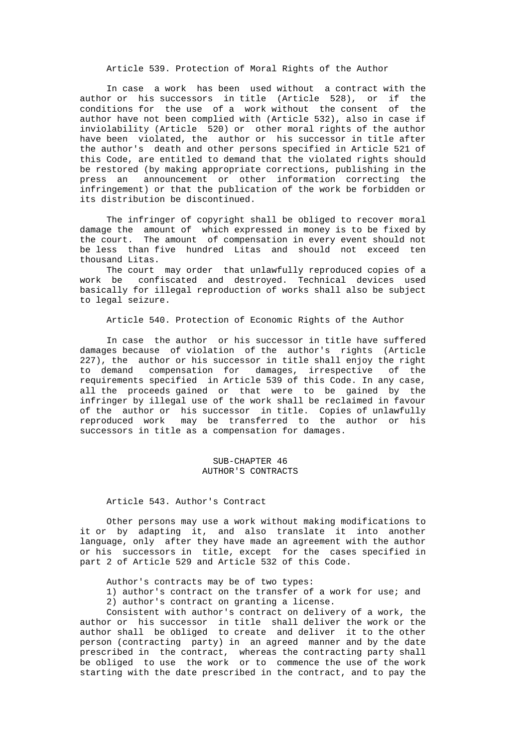#### Article 539. Protection of Moral Rights of the Author

 In case a work has been used without a contract with the author or his successors in title (Article 528), or if the conditions for the use of a work without the consent of the author have not been complied with (Article 532), also in case if inviolability (Article 520) or other moral rights of the author have been violated, the author or his successor in title after the author's death and other persons specified in Article 521 of this Code, are entitled to demand that the violated rights should be restored (by making appropriate corrections, publishing in the press an announcement or other information correcting the infringement) or that the publication of the work be forbidden or its distribution be discontinued.

 The infringer of copyright shall be obliged to recover moral damage the amount of which expressed in money is to be fixed by the court. The amount of compensation in every event should not be less than five hundred Litas and should not exceed ten thousand Litas.

 The court may order that unlawfully reproduced copies of a work be confiscated and destroyed. Technical devices used basically for illegal reproduction of works shall also be subject to legal seizure.

Article 540. Protection of Economic Rights of the Author

 In case the author or his successor in title have suffered damages because of violation of the author's rights (Article 227), the author or his successor in title shall enjoy the right to demand compensation for damages, irrespective of the requirements specified in Article 539 of this Code. In any case, all the proceeds gained or that were to be gained by the infringer by illegal use of the work shall be reclaimed in favour of the author or his successor in title. Copies of unlawfully reproduced work may be transferred to the author or his successors in title as a compensation for damages.

> SUB-CHAPTER 46 AUTHOR'S CONTRACTS

# Article 543. Author's Contract

 Other persons may use a work without making modifications to it or by adapting it, and also translate it into another language, only after they have made an agreement with the author or his successors in title, except for the cases specified in part 2 of Article 529 and Article 532 of this Code.

Author's contracts may be of two types:

- 1) author's contract on the transfer of a work for use; and
- 2) author's contract on granting a license.

 Consistent with author's contract on delivery of a work, the author or his successor in title shall deliver the work or the author shall be obliged to create and deliver it to the other person (contracting party) in an agreed manner and by the date prescribed in the contract, whereas the contracting party shall be obliged to use the work or to commence the use of the work starting with the date prescribed in the contract, and to pay the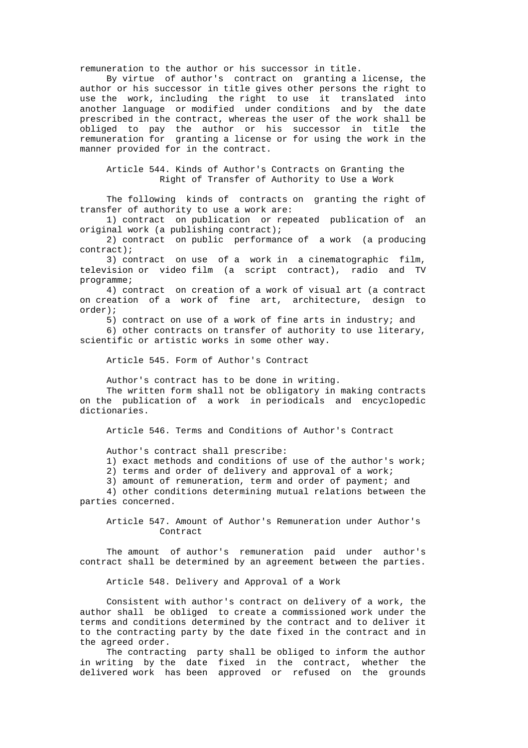remuneration to the author or his successor in title.

 By virtue of author's contract on granting a license, the author or his successor in title gives other persons the right to use the work, including the right to use it translated into another language or modified under conditions and by the date prescribed in the contract, whereas the user of the work shall be obliged to pay the author or his successor in title the remuneration for granting a license or for using the work in the manner provided for in the contract.

 Article 544. Kinds of Author's Contracts on Granting the Right of Transfer of Authority to Use a Work

 The following kinds of contracts on granting the right of transfer of authority to use a work are:

 1) contract on publication or repeated publication of an original work (a publishing contract);

 2) contract on public performance of a work (a producing contract);

 3) contract on use of a work in a cinematographic film, television or video film (a script contract), radio and TV programme;

 4) contract on creation of a work of visual art (a contract on creation of a work of fine art, architecture, design to order);

5) contract on use of a work of fine arts in industry; and

 6) other contracts on transfer of authority to use literary, scientific or artistic works in some other way.

Article 545. Form of Author's Contract

Author's contract has to be done in writing.

 The written form shall not be obligatory in making contracts on the publication of a work in periodicals and encyclopedic dictionaries.

Article 546. Terms and Conditions of Author's Contract

Author's contract shall prescribe:

1) exact methods and conditions of use of the author's work;

2) terms and order of delivery and approval of a work;

3) amount of remuneration, term and order of payment; and

 4) other conditions determining mutual relations between the parties concerned.

 Article 547. Amount of Author's Remuneration under Author's Contract

 The amount of author's remuneration paid under author's contract shall be determined by an agreement between the parties.

Article 548. Delivery and Approval of a Work

 Consistent with author's contract on delivery of a work, the author shall be obliged to create a commissioned work under the terms and conditions determined by the contract and to deliver it to the contracting party by the date fixed in the contract and in the agreed order.

 The contracting party shall be obliged to inform the author in writing by the date fixed in the contract, whether the delivered work has been approved or refused on the grounds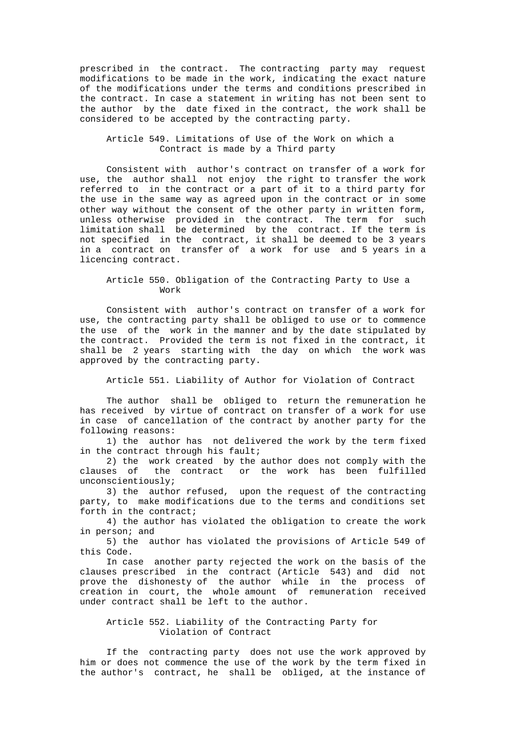prescribed in the contract. The contracting party may request modifications to be made in the work, indicating the exact nature of the modifications under the terms and conditions prescribed in the contract. In case a statement in writing has not been sent to the author by the date fixed in the contract, the work shall be considered to be accepted by the contracting party.

### Article 549. Limitations of Use of the Work on which a Contract is made by a Third party

 Consistent with author's contract on transfer of a work for use, the author shall not enjoy the right to transfer the work referred to in the contract or a part of it to a third party for the use in the same way as agreed upon in the contract or in some other way without the consent of the other party in written form, unless otherwise provided in the contract. The term for such limitation shall be determined by the contract. If the term is not specified in the contract, it shall be deemed to be 3 years in a contract on transfer of a work for use and 5 years in a licencing contract.

## Article 550. Obligation of the Contracting Party to Use a Work

 Consistent with author's contract on transfer of a work for use, the contracting party shall be obliged to use or to commence the use of the work in the manner and by the date stipulated by the contract. Provided the term is not fixed in the contract, it shall be 2 years starting with the day on which the work was approved by the contracting party.

Article 551. Liability of Author for Violation of Contract

 The author shall be obliged to return the remuneration he has received by virtue of contract on transfer of a work for use in case of cancellation of the contract by another party for the following reasons:

 1) the author has not delivered the work by the term fixed in the contract through his fault;

 2) the work created by the author does not comply with the clauses of the contract or the work has been fulfilled unconscientiously;

 3) the author refused, upon the request of the contracting party, to make modifications due to the terms and conditions set forth in the contract;

 4) the author has violated the obligation to create the work in person; and

 5) the author has violated the provisions of Article 549 of this Code.

 In case another party rejected the work on the basis of the clauses prescribed in the contract (Article 543) and did not prove the dishonesty of the author while in the process of creation in court, the whole amount of remuneration received under contract shall be left to the author.

## Article 552. Liability of the Contracting Party for Violation of Contract

 If the contracting party does not use the work approved by him or does not commence the use of the work by the term fixed in the author's contract, he shall be obliged, at the instance of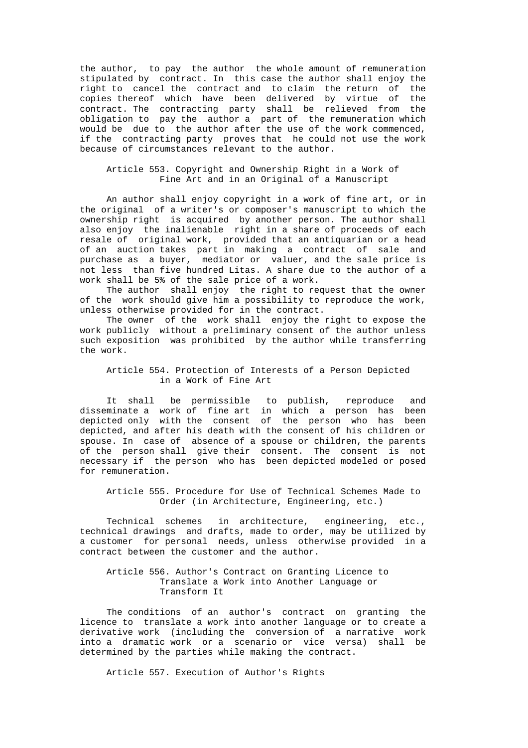the author, to pay the author the whole amount of remuneration stipulated by contract. In this case the author shall enjoy the right to cancel the contract and to claim the return of the copies thereof which have been delivered by virtue of the contract. The contracting party shall be relieved from the obligation to pay the author a part of the remuneration which would be due to the author after the use of the work commenced, if the contracting party proves that he could not use the work because of circumstances relevant to the author.

# Article 553. Copyright and Ownership Right in a Work of Fine Art and in an Original of a Manuscript

 An author shall enjoy copyright in a work of fine art, or in the original of a writer's or composer's manuscript to which the ownership right is acquired by another person. The author shall also enjoy the inalienable right in a share of proceeds of each resale of original work, provided that an antiquarian or a head of an auction takes part in making a contract of sale and purchase as a buyer, mediator or valuer, and the sale price is not less than five hundred Litas. A share due to the author of a work shall be 5% of the sale price of a work.

 The author shall enjoy the right to request that the owner of the work should give him a possibility to reproduce the work, unless otherwise provided for in the contract.

 The owner of the work shall enjoy the right to expose the work publicly without a preliminary consent of the author unless such exposition was prohibited by the author while transferring the work.

## Article 554. Protection of Interests of a Person Depicted in a Work of Fine Art

 It shall be permissible to publish, reproduce and disseminate a work of fine art in which a person has been depicted only with the consent of the person who has been depicted, and after his death with the consent of his children or spouse. In case of absence of a spouse or children, the parents of the person shall give their consent. The consent is not necessary if the person who has been depicted modeled or posed for remuneration.

 Article 555. Procedure for Use of Technical Schemes Made to Order (in Architecture, Engineering, etc.)

 Technical schemes in architecture, engineering, etc., technical drawings and drafts, made to order, may be utilized by a customer for personal needs, unless otherwise provided in a contract between the customer and the author.

# Article 556. Author's Contract on Granting Licence to Translate a Work into Another Language or Transform It

 The conditions of an author's contract on granting the licence to translate a work into another language or to create a derivative work (including the conversion of a narrative work into a dramatic work or a scenario or vice versa) shall be determined by the parties while making the contract.

Article 557. Execution of Author's Rights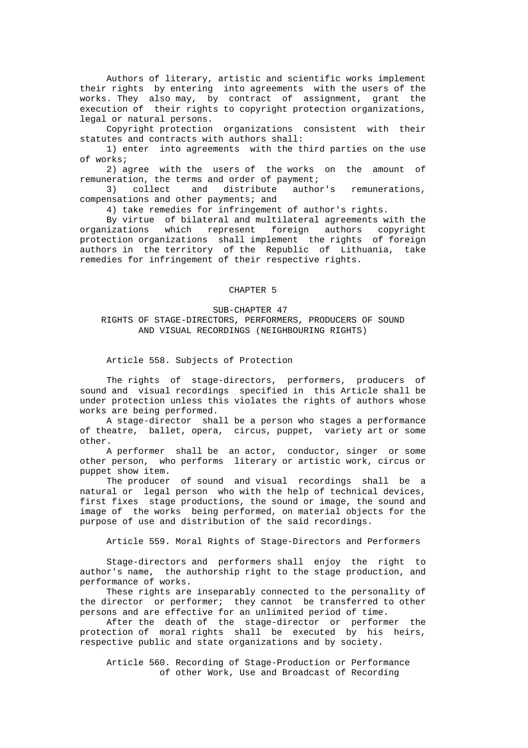Authors of literary, artistic and scientific works implement their rights by entering into agreements with the users of the works. They also may, by contract of assignment, grant the execution of their rights to copyright protection organizations, legal or natural persons.

 Copyright protection organizations consistent with their statutes and contracts with authors shall:

 1) enter into agreements with the third parties on the use of works;

 2) agree with the users of the works on the amount of remuneration, the terms and order of payment;

 3) collect and distribute author's remunerations, compensations and other payments; and

4) take remedies for infringement of author's rights.

 By virtue of bilateral and multilateral agreements with the organizations which represent foreign authors copyright protection organizations shall implement the rights of foreign authors in the territory of the Republic of Lithuania, take remedies for infringement of their respective rights.

### CHAPTER 5

## SUB-CHAPTER 47 RIGHTS OF STAGE-DIRECTORS, PERFORMERS, PRODUCERS OF SOUND AND VISUAL RECORDINGS (NEIGHBOURING RIGHTS)

Article 558. Subjects of Protection

 The rights of stage-directors, performers, producers of sound and visual recordings specified in this Article shall be under protection unless this violates the rights of authors whose works are being performed.

 A stage-director shall be a person who stages a performance of theatre, ballet, opera, circus, puppet, variety art or some other.

 A performer shall be an actor, conductor, singer or some other person, who performs literary or artistic work, circus or puppet show item.

 The producer of sound and visual recordings shall be a natural or legal person who with the help of technical devices, first fixes stage productions, the sound or image, the sound and image of the works being performed, on material objects for the purpose of use and distribution of the said recordings.

Article 559. Moral Rights of Stage-Directors and Performers

 Stage-directors and performers shall enjoy the right to author's name, the authorship right to the stage production, and performance of works.

 These rights are inseparably connected to the personality of the director or performer; they cannot be transferred to other persons and are effective for an unlimited period of time.

 After the death of the stage-director or performer the protection of moral rights shall be executed by his heirs, respective public and state organizations and by society.

 Article 560. Recording of Stage-Production or Performance of other Work, Use and Broadcast of Recording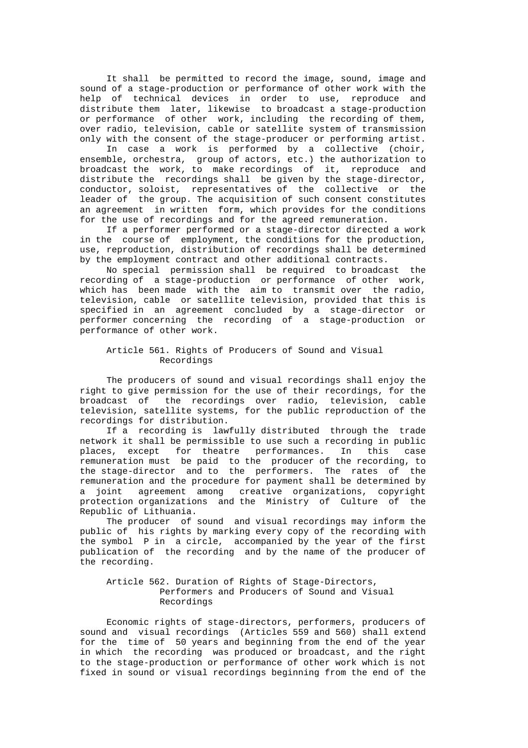It shall be permitted to record the image, sound, image and sound of a stage-production or performance of other work with the help of technical devices in order to use, reproduce and distribute them later, likewise to broadcast a stage-production or performance of other work, including the recording of them, over radio, television, cable or satellite system of transmission only with the consent of the stage-producer or performing artist.

 In case a work is performed by a collective (choir, ensemble, orchestra, group of actors, etc.) the authorization to broadcast the work, to make recordings of it, reproduce and distribute the recordings shall be given by the stage-director, conductor, soloist, representatives of the collective or the leader of the group. The acquisition of such consent constitutes an agreement in written form, which provides for the conditions for the use of recordings and for the agreed remuneration.

 If a performer performed or a stage-director directed a work in the course of employment, the conditions for the production, use, reproduction, distribution of recordings shall be determined by the employment contract and other additional contracts.

 No special permission shall be required to broadcast the recording of a stage-production or performance of other work, which has been made with the aim to transmit over the radio, television, cable or satellite television, provided that this is specified in an agreement concluded by a stage-director or performer concerning the recording of a stage-production or performance of other work.

# Article 561. Rights of Producers of Sound and Visual Recordings

 The producers of sound and visual recordings shall enjoy the right to give permission for the use of their recordings, for the broadcast of the recordings over radio, television, cable television, satellite systems, for the public reproduction of the recordings for distribution.

 If a recording is lawfully distributed through the trade network it shall be permissible to use such a recording in public places, except for theatre performances. In this case remuneration must be paid to the producer of the recording, to the stage-director and to the performers. The rates of the remuneration and the procedure for payment shall be determined by a joint agreement among creative organizations, copyright protection organizations and the Ministry of Culture of the Republic of Lithuania.

 The producer of sound and visual recordings may inform the public of his rights by marking every copy of the recording with the symbol P in a circle, accompanied by the year of the first publication of the recording and by the name of the producer of the recording.

## Article 562. Duration of Rights of Stage-Directors, Performers and Producers of Sound and Visual Recordings

 Economic rights of stage-directors, performers, producers of sound and visual recordings (Articles 559 and 560) shall extend for the time of 50 years and beginning from the end of the year in which the recording was produced or broadcast, and the right to the stage-production or performance of other work which is not fixed in sound or visual recordings beginning from the end of the